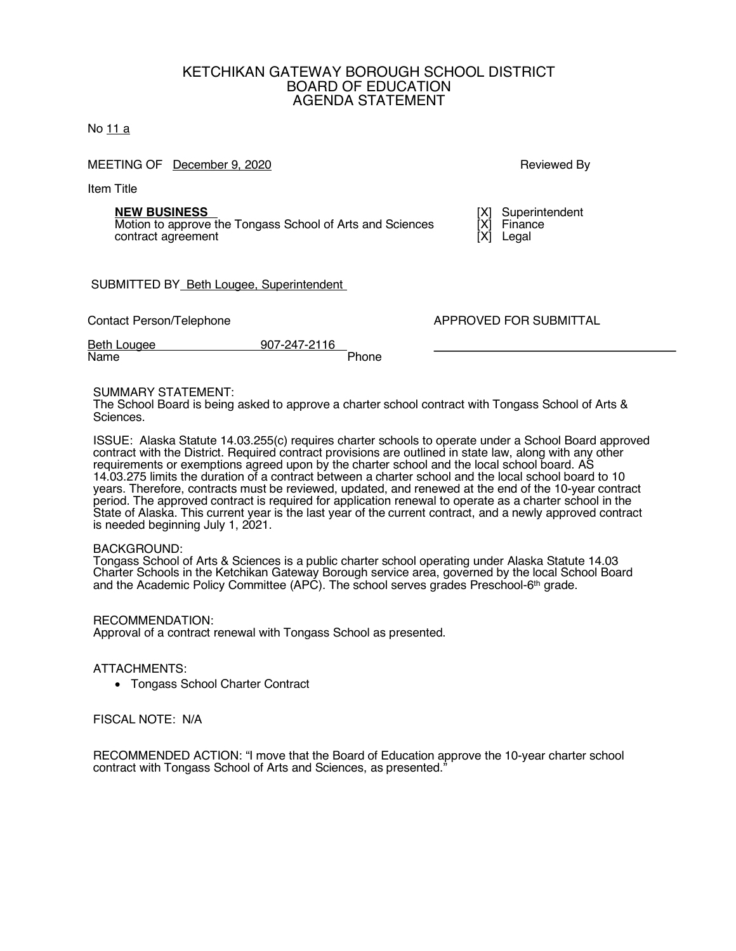## KETCHIKAN GATEWAY BOROUGH SCHOOL DISTRICT BOARD OF EDUCATION AGENDA STATEMENT

No 11 a

MEETING OF December 9, 2020 **Reviewed By** Reviewed By

Item Title

**NEW BUSINESS**<br>Motion to approve the Tongass School of Arts and Sciences [X] Finance Motion to approve the Tongass School of Arts and Sciences [X] Financent contract agreement [X] Legal contract agreement

SUBMITTED BY\_Beth Lougee, Superintendent

Beth Lougee 907-247-2116 Name Phone

Contact Person/Telephone APPROVED FOR SUBMITTAL

## SUMMARY STATEMENT:

The School Board is being asked to approve a charter school contract with Tongass School of Arts & Sciences.

ISSUE: Alaska Statute 14.03.255(c) requires charter schools to operate under a School Board approved contract with the District. Required contract provisions are outlined in state law, along with any other requirements or exemptions agreed upon by the charter school and the local school board. AS 14.03.275 limits the duration of a contract between a charter school and the local school board to 10 years. Therefore, contracts must be reviewed, updated, and renewed at the end of the 10-year contract period. The approved contract is required for application renewal to operate as a charter school in the State of Alaska. This current year is the last year of the current contract, and a newly approved contract is needed beginning July 1, 2021.

## BACKGROUND:

Tongass School of Arts & Sciences is a public charter school operating under Alaska Statute 14.03 Charter Schools in the Ketchikan Gateway Borough service area, governed by the local School Board and the Academic Policy Committee (APC). The school serves grades Preschool-6th grade.

RECOMMENDATION: Approval of a contract renewal with Tongass School as presented.

ATTACHMENTS:

• Tongass School Charter Contract

FISCAL NOTE: N/A

RECOMMENDED ACTION: "I move that the Board of Education approve the 10-year charter school contract with Tongass School of Arts and Sciences, as presented."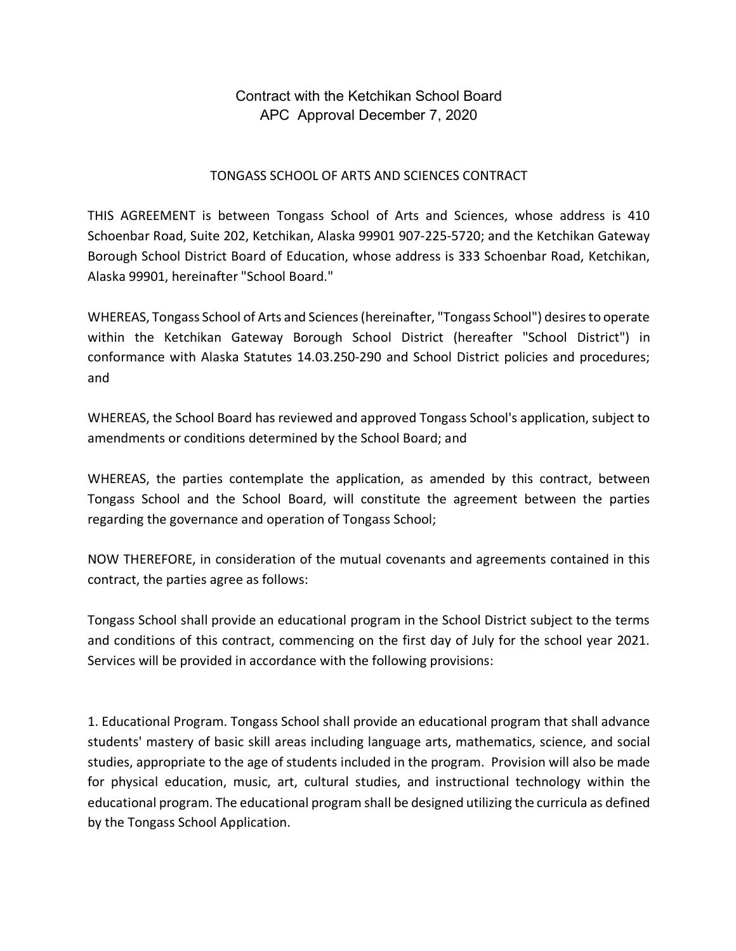Contract with the Ketchikan School Board APC Approval December 7, 2020

## TONGASS SCHOOL OF ARTS AND SCIENCES CONTRACT

THIS AGREEMENT is between Tongass School of Arts and Sciences, whose address is 410 Schoenbar Road, Suite 202, Ketchikan, Alaska 99901 907-225-5720; and the Ketchikan Gateway Borough School District Board of Education, whose address is 333 Schoenbar Road, Ketchikan, Alaska 99901, hereinafter "School Board."

WHEREAS, Tongass School of Arts and Sciences(hereinafter, "Tongass School") desiresto operate within the Ketchikan Gateway Borough School District (hereafter "School District") in conformance with Alaska Statutes 14.03.250-290 and School District policies and procedures; and

WHEREAS, the School Board has reviewed and approved Tongass School's application, subject to amendments or conditions determined by the School Board; and

WHEREAS, the parties contemplate the application, as amended by this contract, between Tongass School and the School Board, will constitute the agreement between the parties regarding the governance and operation of Tongass School;

NOW THEREFORE, in consideration of the mutual covenants and agreements contained in this contract, the parties agree as follows:

Tongass School shall provide an educational program in the School District subject to the terms and conditions of this contract, commencing on the first day of July for the school year 2021. Services will be provided in accordance with the following provisions:

1. Educational Program. Tongass School shall provide an educational program that shall advance students' mastery of basic skill areas including language arts, mathematics, science, and social studies, appropriate to the age of students included in the program. Provision will also be made for physical education, music, art, cultural studies, and instructional technology within the educational program. The educational program shall be designed utilizing the curricula as defined by the Tongass School Application.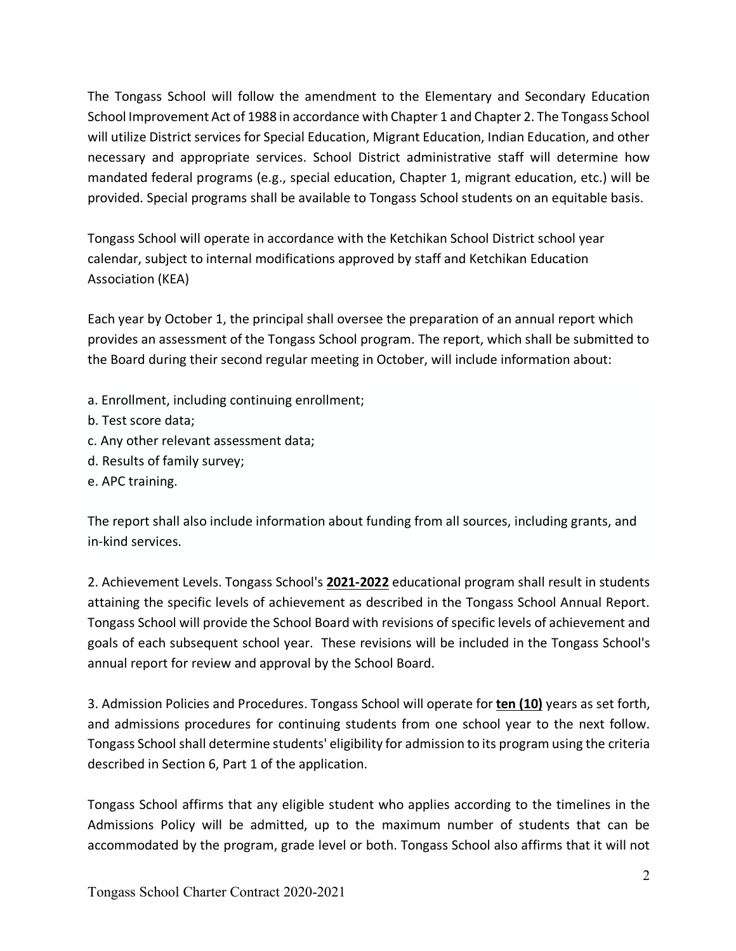The Tongass School will follow the amendment to the Elementary and Secondary Education School Improvement Act of 1988 in accordance with Chapter 1 and Chapter 2. The Tongass School will utilize District services for Special Education, Migrant Education, Indian Education, and other necessary and appropriate services. School District administrative staff will determine how mandated federal programs (e.g., special education, Chapter 1, migrant education, etc.) will be provided. Special programs shall be available to Tongass School students on an equitable basis.

Tongass School will operate in accordance with the Ketchikan School District school year calendar, subject to internal modifications approved by staff and Ketchikan Education Association (KEA)

Each year by October 1, the principal shall oversee the preparation of an annual report which provides an assessment of the Tongass School program. The report, which shall be submitted to the Board during their second regular meeting in October, will include information about:

- a. Enrollment, including continuing enrollment;
- b. Test score data;
- c. Any other relevant assessment data;
- d. Results of family survey;
- e. APC training.

The report shall also include information about funding from all sources, including grants, and in-kind services.

2. Achievement Levels. Tongass School's **2021-2022** educational program shall result in students attaining the specific levels of achievement as described in the Tongass School Annual Report. Tongass School will provide the School Board with revisions of specific levels of achievement and goals of each subsequent school year. These revisions will be included in the Tongass School's annual report for review and approval by the School Board.

3. Admission Policies and Procedures. Tongass School will operate for **ten (10)** years as set forth, and admissions procedures for continuing students from one school year to the next follow. Tongass School shall determine students' eligibility for admission to its program using the criteria described in Section 6, Part 1 of the application.

Tongass School affirms that any eligible student who applies according to the timelines in the Admissions Policy will be admitted, up to the maximum number of students that can be accommodated by the program, grade level or both. Tongass School also affirms that it will not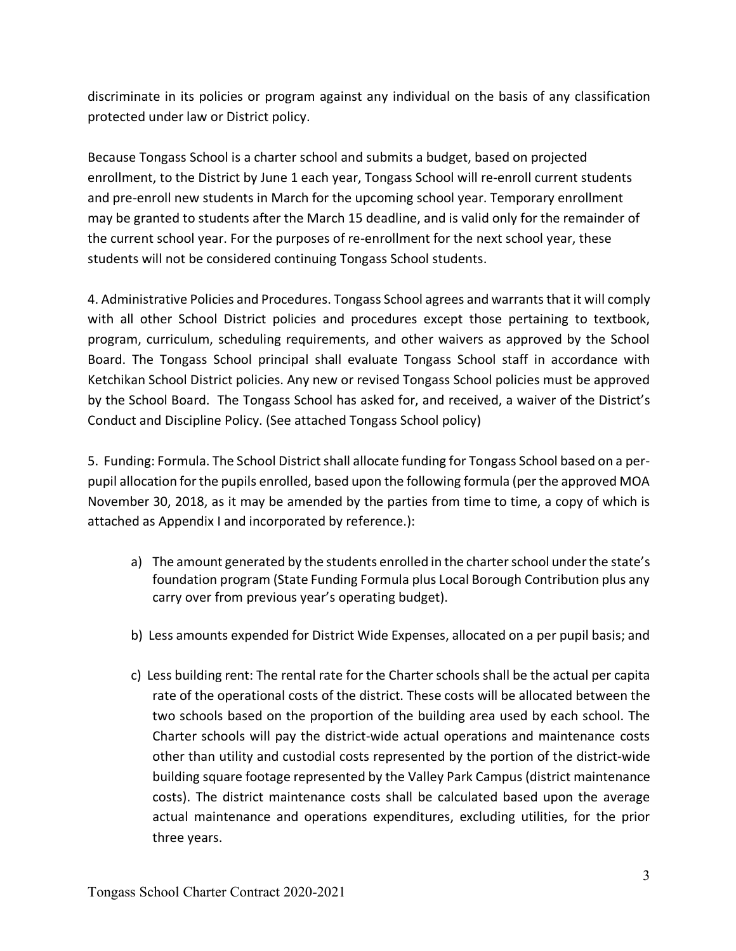discriminate in its policies or program against any individual on the basis of any classification protected under law or District policy.

Because Tongass School is a charter school and submits a budget, based on projected enrollment, to the District by June 1 each year, Tongass School will re-enroll current students and pre-enroll new students in March for the upcoming school year. Temporary enrollment may be granted to students after the March 15 deadline, and is valid only for the remainder of the current school year. For the purposes of re-enrollment for the next school year, these students will not be considered continuing Tongass School students.

4. Administrative Policies and Procedures. Tongass School agrees and warrantsthat it will comply with all other School District policies and procedures except those pertaining to textbook, program, curriculum, scheduling requirements, and other waivers as approved by the School Board. The Tongass School principal shall evaluate Tongass School staff in accordance with Ketchikan School District policies. Any new or revised Tongass School policies must be approved by the School Board. The Tongass School has asked for, and received, a waiver of the District's Conduct and Discipline Policy. (See attached Tongass School policy)

5. Funding: Formula. The School District shall allocate funding for Tongass School based on a perpupil allocation for the pupils enrolled, based upon the following formula (per the approved MOA November 30, 2018, as it may be amended by the parties from time to time, a copy of which is attached as Appendix I and incorporated by reference.):

- a) The amount generated by the students enrolled in the charter school under the state's foundation program (State Funding Formula plus Local Borough Contribution plus any carry over from previous year's operating budget).
- b) Less amounts expended for District Wide Expenses, allocated on a per pupil basis; and
- c) Less building rent: The rental rate for the Charterschools shall be the actual per capita rate of the operational costs of the district. These costs will be allocated between the two schools based on the proportion of the building area used by each school. The Charter schools will pay the district-wide actual operations and maintenance costs other than utility and custodial costs represented by the portion of the district-wide building square footage represented by the Valley Park Campus (district maintenance costs). The district maintenance costs shall be calculated based upon the average actual maintenance and operations expenditures, excluding utilities, for the prior three years.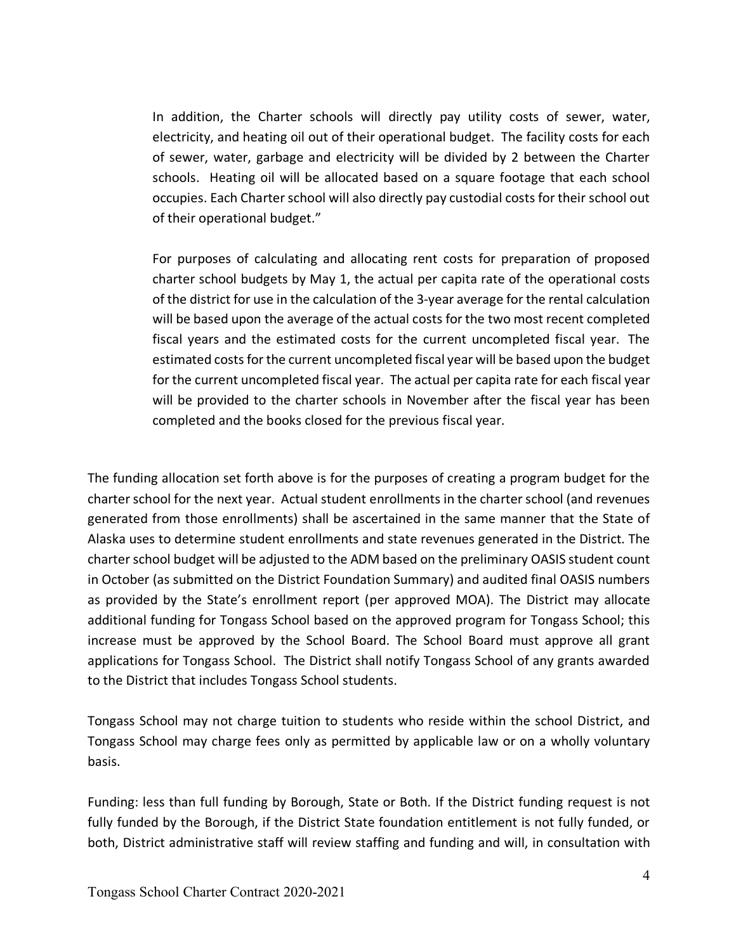In addition, the Charter schools will directly pay utility costs of sewer, water, electricity, and heating oil out of their operational budget. The facility costs for each of sewer, water, garbage and electricity will be divided by 2 between the Charter schools. Heating oil will be allocated based on a square footage that each school occupies. Each Charter school will also directly pay custodial costs for their school out of their operational budget."

For purposes of calculating and allocating rent costs for preparation of proposed charter school budgets by May 1, the actual per capita rate of the operational costs of the district for use in the calculation of the 3-year average for the rental calculation will be based upon the average of the actual costs for the two most recent completed fiscal years and the estimated costs for the current uncompleted fiscal year. The estimated costs for the current uncompleted fiscal year will be based upon the budget for the current uncompleted fiscal year. The actual per capita rate for each fiscal year will be provided to the charter schools in November after the fiscal year has been completed and the books closed for the previous fiscal year.

The funding allocation set forth above is for the purposes of creating a program budget for the charter school for the next year. Actual student enrollments in the charter school (and revenues generated from those enrollments) shall be ascertained in the same manner that the State of Alaska uses to determine student enrollments and state revenues generated in the District. The charter school budget will be adjusted to the ADM based on the preliminary OASIS student count in October (as submitted on the District Foundation Summary) and audited final OASIS numbers as provided by the State's enrollment report (per approved MOA). The District may allocate additional funding for Tongass School based on the approved program for Tongass School; this increase must be approved by the School Board. The School Board must approve all grant applications for Tongass School. The District shall notify Tongass School of any grants awarded to the District that includes Tongass School students.

Tongass School may not charge tuition to students who reside within the school District, and Tongass School may charge fees only as permitted by applicable law or on a wholly voluntary basis.

Funding: less than full funding by Borough, State or Both. If the District funding request is not fully funded by the Borough, if the District State foundation entitlement is not fully funded, or both, District administrative staff will review staffing and funding and will, in consultation with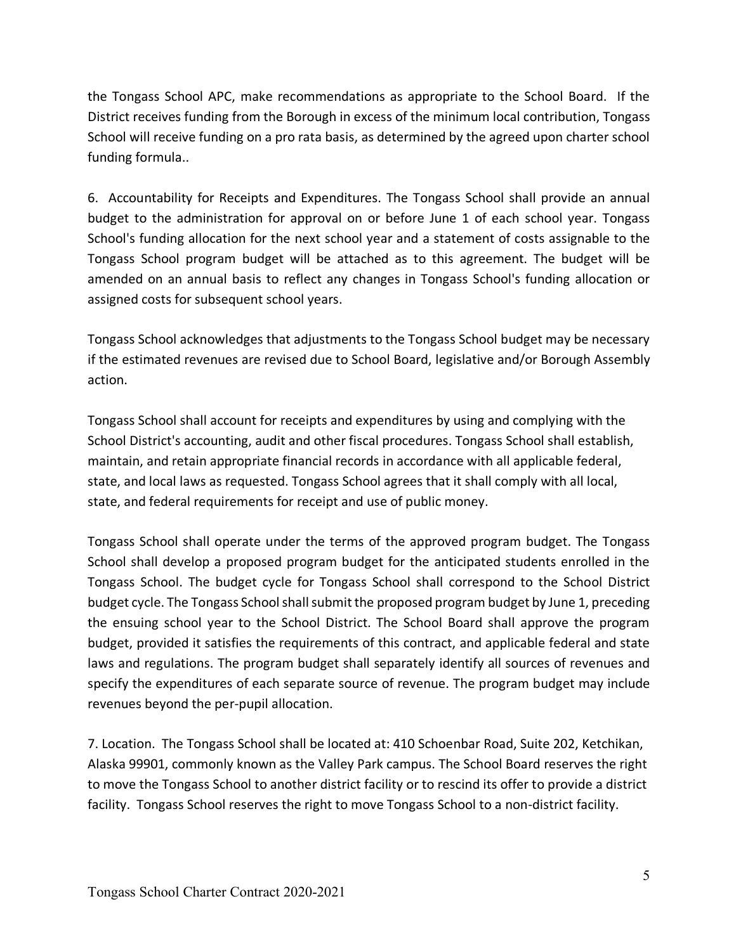the Tongass School APC, make recommendations as appropriate to the School Board. If the District receives funding from the Borough in excess of the minimum local contribution, Tongass School will receive funding on a pro rata basis, as determined by the agreed upon charter school funding formula..

6. Accountability for Receipts and Expenditures. The Tongass School shall provide an annual budget to the administration for approval on or before June 1 of each school year. Tongass School's funding allocation for the next school year and a statement of costs assignable to the Tongass School program budget will be attached as to this agreement. The budget will be amended on an annual basis to reflect any changes in Tongass School's funding allocation or assigned costs for subsequent school years.

Tongass School acknowledges that adjustments to the Tongass School budget may be necessary if the estimated revenues are revised due to School Board, legislative and/or Borough Assembly action.

Tongass School shall account for receipts and expenditures by using and complying with the School District's accounting, audit and other fiscal procedures. Tongass School shall establish, maintain, and retain appropriate financial records in accordance with all applicable federal, state, and local laws as requested. Tongass School agrees that it shall comply with all local, state, and federal requirements for receipt and use of public money.

Tongass School shall operate under the terms of the approved program budget. The Tongass School shall develop a proposed program budget for the anticipated students enrolled in the Tongass School. The budget cycle for Tongass School shall correspond to the School District budget cycle. The Tongass School shall submit the proposed program budget by June 1, preceding the ensuing school year to the School District. The School Board shall approve the program budget, provided it satisfies the requirements of this contract, and applicable federal and state laws and regulations. The program budget shall separately identify all sources of revenues and specify the expenditures of each separate source of revenue. The program budget may include revenues beyond the per-pupil allocation.

7. Location. The Tongass School shall be located at: 410 Schoenbar Road, Suite 202, Ketchikan, Alaska 99901, commonly known as the Valley Park campus. The School Board reserves the right to move the Tongass School to another district facility or to rescind its offer to provide a district facility. Tongass School reserves the right to move Tongass School to a non-district facility.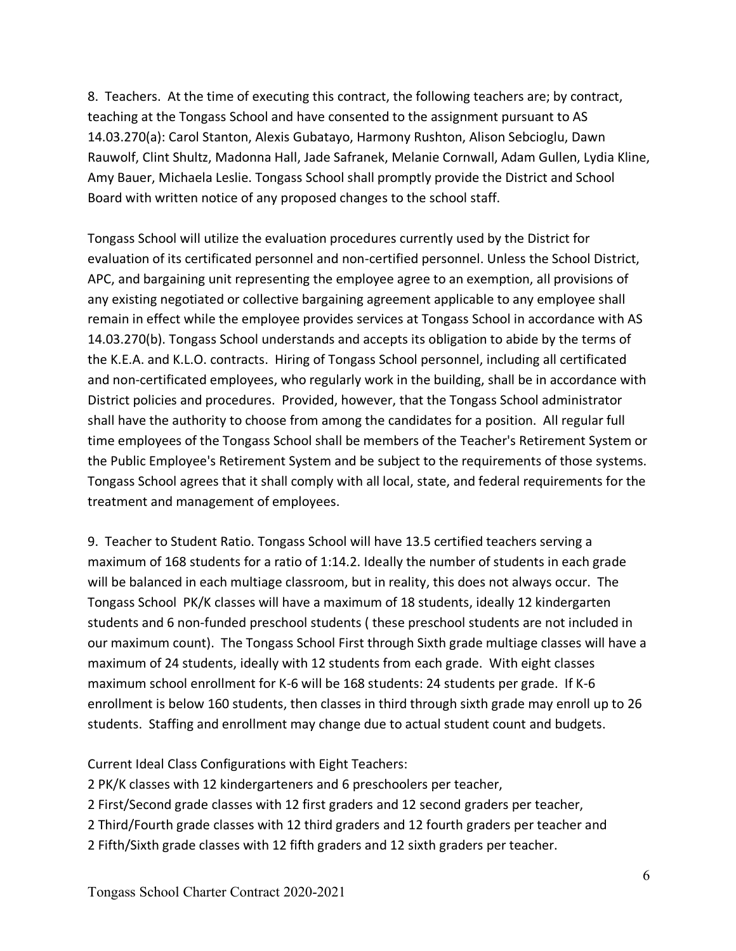8. Teachers. At the time of executing this contract, the following teachers are; by contract, teaching at the Tongass School and have consented to the assignment pursuant to AS 14.03.270(a): Carol Stanton, Alexis Gubatayo, Harmony Rushton, Alison Sebcioglu, Dawn Rauwolf, Clint Shultz, Madonna Hall, Jade Safranek, Melanie Cornwall, Adam Gullen, Lydia Kline, Amy Bauer, Michaela Leslie. Tongass School shall promptly provide the District and School Board with written notice of any proposed changes to the school staff.

Tongass School will utilize the evaluation procedures currently used by the District for evaluation of its certificated personnel and non-certified personnel. Unless the School District, APC, and bargaining unit representing the employee agree to an exemption, all provisions of any existing negotiated or collective bargaining agreement applicable to any employee shall remain in effect while the employee provides services at Tongass School in accordance with AS 14.03.270(b). Tongass School understands and accepts its obligation to abide by the terms of the K.E.A. and K.L.O. contracts. Hiring of Tongass School personnel, including all certificated and non-certificated employees, who regularly work in the building, shall be in accordance with District policies and procedures. Provided, however, that the Tongass School administrator shall have the authority to choose from among the candidates for a position. All regular full time employees of the Tongass School shall be members of the Teacher's Retirement System or the Public Employee's Retirement System and be subject to the requirements of those systems. Tongass School agrees that it shall comply with all local, state, and federal requirements for the treatment and management of employees.

9. Teacher to Student Ratio. Tongass School will have 13.5 certified teachers serving a maximum of 168 students for a ratio of 1:14.2. Ideally the number of students in each grade will be balanced in each multiage classroom, but in reality, this does not always occur. The Tongass School PK/K classes will have a maximum of 18 students, ideally 12 kindergarten students and 6 non-funded preschool students ( these preschool students are not included in our maximum count). The Tongass School First through Sixth grade multiage classes will have a maximum of 24 students, ideally with 12 students from each grade. With eight classes maximum school enrollment for K-6 will be 168 students: 24 students per grade. If K-6 enrollment is below 160 students, then classes in third through sixth grade may enroll up to 26 students. Staffing and enrollment may change due to actual student count and budgets.

Current Ideal Class Configurations with Eight Teachers:

2 PK/K classes with 12 kindergarteners and 6 preschoolers per teacher,

2 First/Second grade classes with 12 first graders and 12 second graders per teacher,

2 Third/Fourth grade classes with 12 third graders and 12 fourth graders per teacher and

2 Fifth/Sixth grade classes with 12 fifth graders and 12 sixth graders per teacher.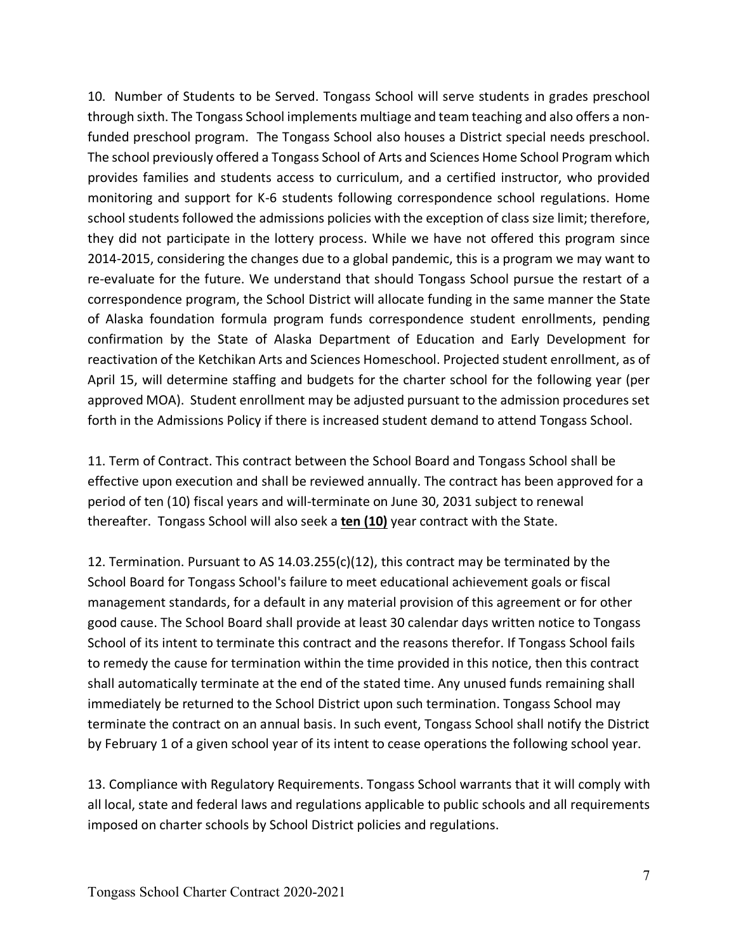10. Number of Students to be Served. Tongass School will serve students in grades preschool through sixth. The Tongass School implements multiage and team teaching and also offers a nonfunded preschool program. The Tongass School also houses a District special needs preschool. The school previously offered a Tongass School of Arts and Sciences Home School Program which provides families and students access to curriculum, and a certified instructor, who provided monitoring and support for K-6 students following correspondence school regulations. Home school students followed the admissions policies with the exception of class size limit; therefore, they did not participate in the lottery process. While we have not offered this program since 2014-2015, considering the changes due to a global pandemic, this is a program we may want to re-evaluate for the future. We understand that should Tongass School pursue the restart of a correspondence program, the School District will allocate funding in the same manner the State of Alaska foundation formula program funds correspondence student enrollments, pending confirmation by the State of Alaska Department of Education and Early Development for reactivation of the Ketchikan Arts and Sciences Homeschool. Projected student enrollment, as of April 15, will determine staffing and budgets for the charter school for the following year (per approved MOA). Student enrollment may be adjusted pursuant to the admission procedures set forth in the Admissions Policy if there is increased student demand to attend Tongass School.

11. Term of Contract. This contract between the School Board and Tongass School shall be effective upon execution and shall be reviewed annually. The contract has been approved for a period of ten (10) fiscal years and will-terminate on June 30, 2031 subject to renewal thereafter. Tongass School will also seek a **ten (10)** year contract with the State.

12. Termination. Pursuant to AS  $14.03.255(c)(12)$ , this contract may be terminated by the School Board for Tongass School's failure to meet educational achievement goals or fiscal management standards, for a default in any material provision of this agreement or for other good cause. The School Board shall provide at least 30 calendar days written notice to Tongass School of its intent to terminate this contract and the reasons therefor. If Tongass School fails to remedy the cause for termination within the time provided in this notice, then this contract shall automatically terminate at the end of the stated time. Any unused funds remaining shall immediately be returned to the School District upon such termination. Tongass School may terminate the contract on an annual basis. In such event, Tongass School shall notify the District by February 1 of a given school year of its intent to cease operations the following school year.

13. Compliance with Regulatory Requirements. Tongass School warrants that it will comply with all local, state and federal laws and regulations applicable to public schools and all requirements imposed on charter schools by School District policies and regulations.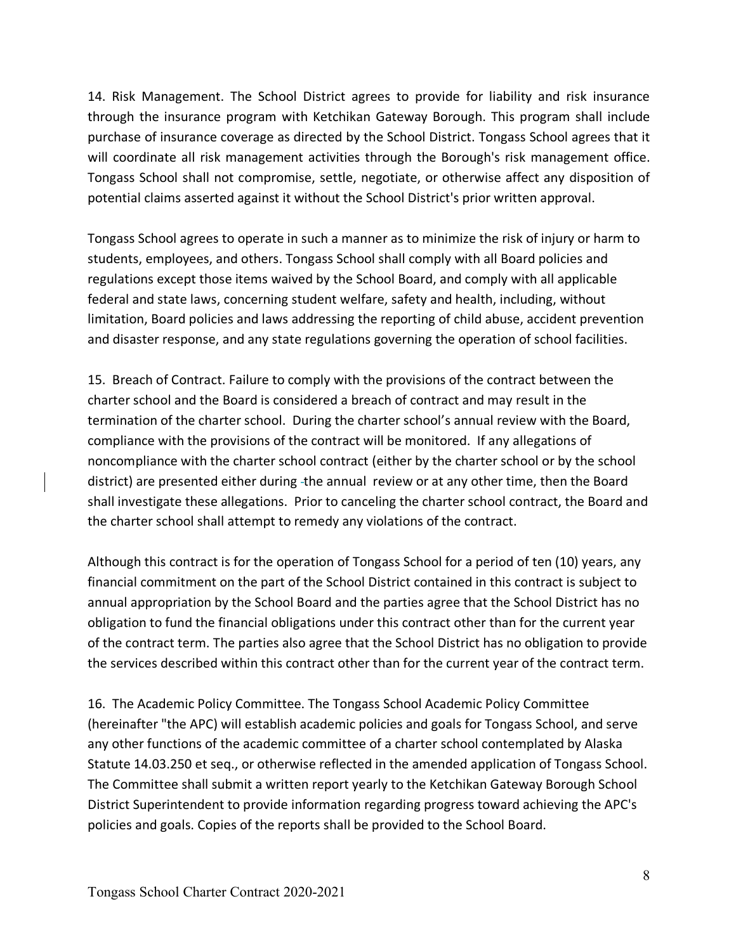14. Risk Management. The School District agrees to provide for liability and risk insurance through the insurance program with Ketchikan Gateway Borough. This program shall include purchase of insurance coverage as directed by the School District. Tongass School agrees that it will coordinate all risk management activities through the Borough's risk management office. Tongass School shall not compromise, settle, negotiate, or otherwise affect any disposition of potential claims asserted against it without the School District's prior written approval.

Tongass School agrees to operate in such a manner as to minimize the risk of injury or harm to students, employees, and others. Tongass School shall comply with all Board policies and regulations except those items waived by the School Board, and comply with all applicable federal and state laws, concerning student welfare, safety and health, including, without limitation, Board policies and laws addressing the reporting of child abuse, accident prevention and disaster response, and any state regulations governing the operation of school facilities.

15. Breach of Contract. Failure to comply with the provisions of the contract between the charter school and the Board is considered a breach of contract and may result in the termination of the charter school. During the charter school's annual review with the Board, compliance with the provisions of the contract will be monitored. If any allegations of noncompliance with the charter school contract (either by the charter school or by the school district) are presented either during -the annual review or at any other time, then the Board shall investigate these allegations. Prior to canceling the charter school contract, the Board and the charter school shall attempt to remedy any violations of the contract.

Although this contract is for the operation of Tongass School for a period of ten (10) years, any financial commitment on the part of the School District contained in this contract is subject to annual appropriation by the School Board and the parties agree that the School District has no obligation to fund the financial obligations under this contract other than for the current year of the contract term. The parties also agree that the School District has no obligation to provide the services described within this contract other than for the current year of the contract term.

16. The Academic Policy Committee. The Tongass School Academic Policy Committee (hereinafter "the APC) will establish academic policies and goals for Tongass School, and serve any other functions of the academic committee of a charter school contemplated by Alaska Statute 14.03.250 et seq., or otherwise reflected in the amended application of Tongass School. The Committee shall submit a written report yearly to the Ketchikan Gateway Borough School District Superintendent to provide information regarding progress toward achieving the APC's policies and goals. Copies of the reports shall be provided to the School Board.